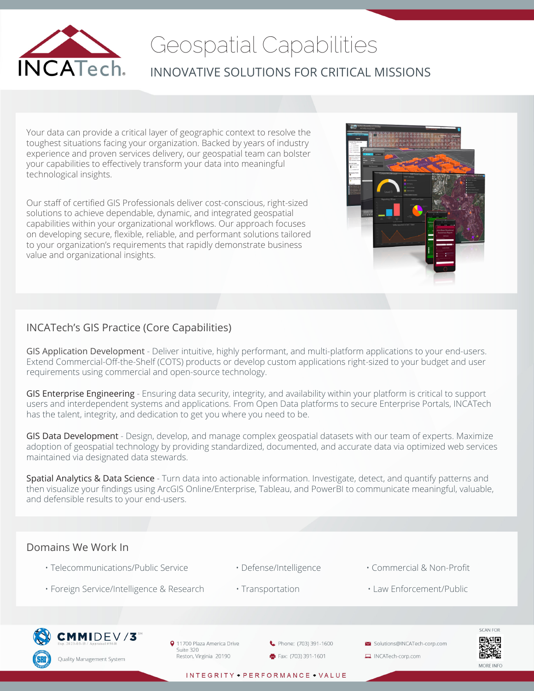

# Geospatial Capabilities INNOVATIVE SOLUTIONS FOR CRITICAL MISSIONS

Your data can provide a critical layer of geographic context to resolve the toughest situations facing your organization. Backed by years of industry experience and proven services delivery, our geospatial team can bolster your capabilities to effectively transform your data into meaningful technological insights.

Our staff of certified GIS Professionals deliver cost-conscious, right-sized solutions to achieve dependable, dynamic, and integrated geospatial capabilities within your organizational workflows. Our approach focuses on developing secure, flexible, reliable, and performant solutions tailored to your organization's requirements that rapidly demonstrate business value and organizational insights.

## INCATech's GIS Practice (Core Capabilities)

GIS Application Development - Deliver intuitive, highly performant, and multi-platform applications to your end-users. Extend Commercial-Off-the-Shelf (COTS) products or develop custom applications right-sized to your budget and user requirements using commercial and open-source technology.

GIS Enterprise Engineering - Ensuring data security, integrity, and availability within your platform is critical to support users and interdependent systems and applications. From Open Data platforms to secure Enterprise Portals, INCATech has the talent, integrity, and dedication to get you where you need to be.

GIS Data Development - Design, develop, and manage complex geospatial datasets with our team of experts. Maximize adoption of geospatial technology by providing standardized, documented, and accurate data via optimized web services maintained via designated data stewards.

Spatial Analytics & Data Science - Turn data into actionable information. Investigate, detect, and quantify patterns and then visualize your findings using ArcGIS Online/Enterprise, Tableau, and PowerBI to communicate meaningful, valuable, and defensible results to your end-users.

### Domains We Work In

- Telecommunications/Public Service • Defense/Intelligence • Commercial & Non-Profit
- 
- 
- Foreign Service/Intelligence & Research Transportation Law Enforcement/Public



9 11700 Plaza America Drive Suite 320 Reston, Virginia 20190

Phone: (703) 391-1600 Fax: (703) 391-1601

Solutions@INCATech-corp.com INCATech-corp.com



INTEGRITY • PERFORMANCE • VALUE